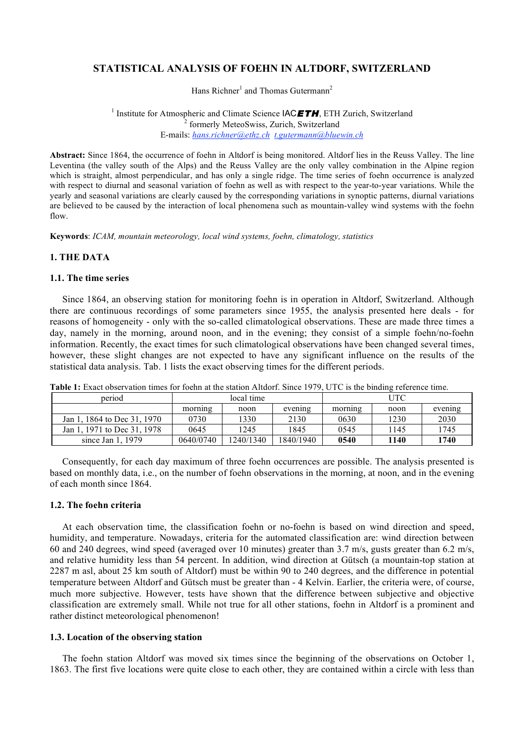# **STATISTICAL ANALYSIS OF FOEHN IN ALTDORF, SWITZERLAND**

Hans Richner<sup>1</sup> and Thomas Gutermann<sup>2</sup>

<sup>1</sup> Institute for Atmospheric and Climate Science  $\mathsf{IACETH}$ , ETH Zurich, Switzerland <sup>2</sup> formerly MeteoSwiss, Zurich, Switzerland E-mails: *hans.richner@ethz.ch t.gutermann@bluewin.ch*

**Abstract:** Since 1864, the occurrence of foehn in Altdorf is being monitored. Altdorf lies in the Reuss Valley. The line Leventina (the valley south of the Alps) and the Reuss Valley are the only valley combination in the Alpine region which is straight, almost perpendicular, and has only a single ridge. The time series of foehn occurrence is analyzed with respect to diurnal and seasonal variation of foehn as well as with respect to the year-to-year variations. While the yearly and seasonal variations are clearly caused by the corresponding variations in synoptic patterns, diurnal variations are believed to be caused by the interaction of local phenomena such as mountain-valley wind systems with the foehn flow.

**Keywords**: *ICAM, mountain meteorology, local wind systems, foehn, climatology, statistics*

### **1. THE DATA**

## **1.1. The time series**

Since 1864, an observing station for monitoring foehn is in operation in Altdorf, Switzerland. Although there are continuous recordings of some parameters since 1955, the analysis presented here deals - for reasons of homogeneity - only with the so-called climatological observations. These are made three times a day, namely in the morning, around noon, and in the evening; they consist of a simple foehn/no-foehn information. Recently, the exact times for such climatological observations have been changed several times, however, these slight changes are not expected to have any significant influence on the results of the statistical data analysis. Tab. 1 lists the exact observing times for the different periods.

| period                      | local time |           |           | UTC     |      |         |
|-----------------------------|------------|-----------|-----------|---------|------|---------|
|                             | morning    | noon      | evening   | morning | noon | evening |
| Jan 1, 1864 to Dec 31, 1970 | 0730       | 1330      | 2130      | 0630    | 1230 | 2030    |
| Jan 1, 1971 to Dec 31, 1978 | 0645       | 1245      | 1845      | 0545    | 1145 | 1745    |
| since Jan 1, 1979           | 0640/0740  | 1240/1340 | 1840/1940 | 0540    | 1140 | 1740    |

**Table 1:** Exact observation times for foehn at the station Altdorf. Since 1979, UTC is the binding reference time.

Consequently, for each day maximum of three foehn occurrences are possible. The analysis presented is based on monthly data, i.e., on the number of foehn observations in the morning, at noon, and in the evening of each month since 1864.

## **1.2. The foehn criteria**

At each observation time, the classification foehn or no-foehn is based on wind direction and speed, humidity, and temperature. Nowadays, criteria for the automated classification are: wind direction between 60 and 240 degrees, wind speed (averaged over 10 minutes) greater than 3.7 m/s, gusts greater than 6.2 m/s, and relative humidity less than 54 percent. In addition, wind direction at Gütsch (a mountain-top station at 2287 m asl, about 25 km south of Altdorf) must be within 90 to 240 degrees, and the difference in potential temperature between Altdorf and Gütsch must be greater than - 4 Kelvin. Earlier, the criteria were, of course, much more subjective. However, tests have shown that the difference between subjective and objective classification are extremely small. While not true for all other stations, foehn in Altdorf is a prominent and rather distinct meteorological phenomenon!

#### **1.3. Location of the observing station**

The foehn station Altdorf was moved six times since the beginning of the observations on October 1, 1863. The first five locations were quite close to each other, they are contained within a circle with less than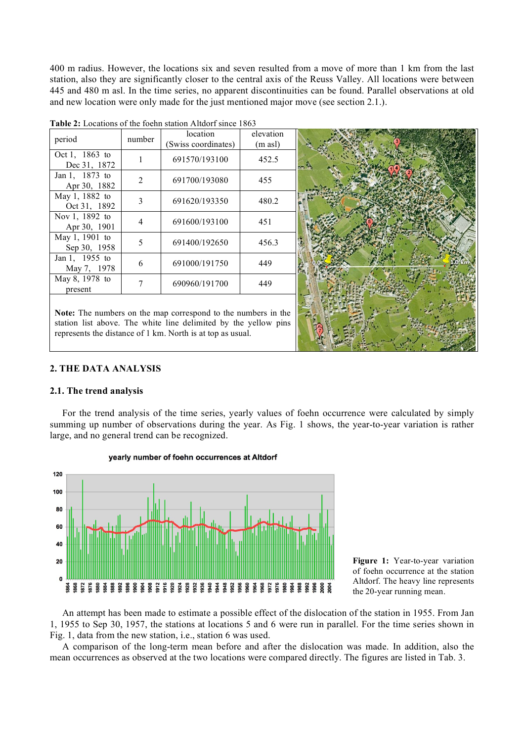400 m radius. However, the locations six and seven resulted from a move of more than 1 km from the last station, also they are significantly closer to the central axis of the Reuss Valley. All locations were between 445 and 480 m asl. In the time series, no apparent discontinuities can be found. Parallel observations at old and new location were only made for the just mentioned major move (see section 2.1.).

| period                         | number | location<br>(Swiss coordinates) | elevation<br>$(m \text{ as } l)$ |  |
|--------------------------------|--------|---------------------------------|----------------------------------|--|
| Oct 1, 1863 to<br>Dec 31, 1872 | 1      | 691570/193100                   | 452.5                            |  |
| Jan 1, 1873 to<br>Apr 30, 1882 | 2      | 691700/193080                   | 455                              |  |
| May 1, 1882 to<br>Oct 31, 1892 | 3      | 691620/193350                   | 480.2                            |  |
| Nov 1, 1892 to<br>Apr 30, 1901 | 4      | 691600/193100                   | 451                              |  |
| May 1, 1901 to<br>Sep 30, 1958 | 5      | 691400/192650                   | 456.3                            |  |
| Jan 1, 1955 to<br>May 7, 1978  | 6      | 691000/191750                   | 449                              |  |
| May 8, 1978 to<br>present      | 7      | 690960/191700                   | 449                              |  |
|                                |        |                                 |                                  |  |

**Table 2:** Locations of the foehn station Altdorf since 1863

**Note:** The numbers on the map correspond to the numbers in the station list above. The white line delimited by the yellow pins represents the distance of 1 km. North is at top as usual.



## **2. THE DATA ANALYSIS**

#### **2.1. The trend analysis**

For the trend analysis of the time series, yearly values of foehn occurrence were calculated by simply summing up number of observations during the year. As Fig. 1 shows, the year-to-year variation is rather large, and no general trend can be recognized.







An attempt has been made to estimate a possible effect of the dislocation of the station in 1955. From Jan 1, 1955 to Sep 30, 1957, the stations at locations 5 and 6 were run in parallel. For the time series shown in Fig. 1, data from the new station, i.e., station 6 was used.

A comparison of the long-term mean before and after the dislocation was made. In addition, also the mean occurrences as observed at the two locations were compared directly. The figures are listed in Tab. 3.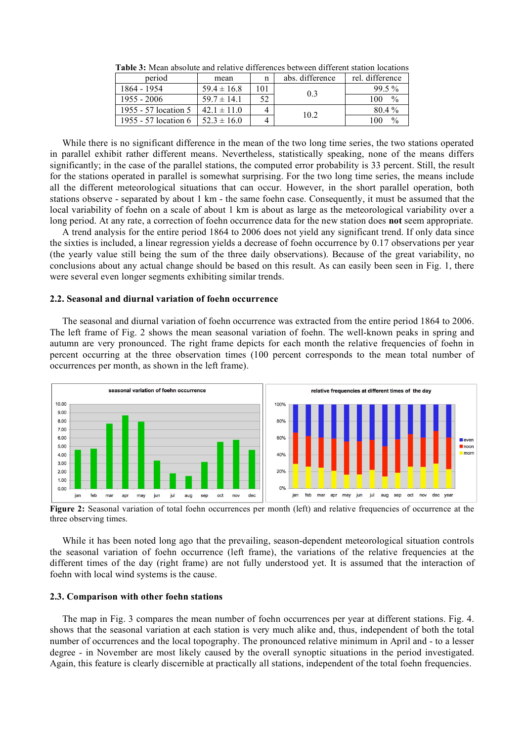| period               | mean            |     | abs. difference | rel. difference      |
|----------------------|-----------------|-----|-----------------|----------------------|
| 1864 - 1954          | $59.4 \pm 16.8$ | 101 | 0.3             | $99.5\%$             |
| $1955 - 2006$        | $59.7 \pm 14.1$ | 52  |                 | $\%$<br>100          |
| 1955 - 57 location 5 | $42.1 \pm 11.0$ |     |                 | $80.4\%$             |
| 1955 - 57 location 6 | $52.3 \pm 16.0$ |     | 10.2            | $\frac{0}{0}$<br>100 |

**Table 3:** Mean absolute and relative differences between different station locations

While there is no significant difference in the mean of the two long time series, the two stations operated in parallel exhibit rather different means. Nevertheless, statistically speaking, none of the means differs significantly; in the case of the parallel stations, the computed error probability is 33 percent. Still, the result for the stations operated in parallel is somewhat surprising. For the two long time series, the means include all the different meteorological situations that can occur. However, in the short parallel operation, both stations observe - separated by about 1 km - the same foehn case. Consequently, it must be assumed that the local variability of foehn on a scale of about 1 km is about as large as the meteorological variability over a long period. At any rate, a correction of foehn occurrence data for the new station does **not** seem appropriate.

A trend analysis for the entire period 1864 to 2006 does not yield any significant trend. If only data since the sixties is included, a linear regression yields a decrease of foehn occurrence by 0.17 observations per year (the yearly value still being the sum of the three daily observations). Because of the great variability, no conclusions about any actual change should be based on this result. As can easily been seen in Fig. 1, there were several even longer segments exhibiting similar trends.

## **2.2. Seasonal and diurnal variation of foehn occurrence**

The seasonal and diurnal variation of foehn occurrence was extracted from the entire period 1864 to 2006. The left frame of Fig. 2 shows the mean seasonal variation of foehn. The well-known peaks in spring and autumn are very pronounced. The right frame depicts for each month the relative frequencies of foehn in percent occurring at the three observation times (100 percent corresponds to the mean total number of occurrences per month, as shown in the left frame).



**Figure 2:** Seasonal variation of total foehn occurrences per month (left) and relative frequencies of occurrence at the three observing times.

While it has been noted long ago that the prevailing, season-dependent meteorological situation controls the seasonal variation of foehn occurrence (left frame), the variations of the relative frequencies at the different times of the day (right frame) are not fully understood yet. It is assumed that the interaction of foehn with local wind systems is the cause.

#### **2.3. Comparison with other foehn stations**

The map in Fig. 3 compares the mean number of foehn occurrences per year at different stations. Fig. 4. shows that the seasonal variation at each station is very much alike and, thus, independent of both the total number of occurrences and the local topography. The pronounced relative minimum in April and - to a lesser degree - in November are most likely caused by the overall synoptic situations in the period investigated. Again, this feature is clearly discernible at practically all stations, independent of the total foehn frequencies.